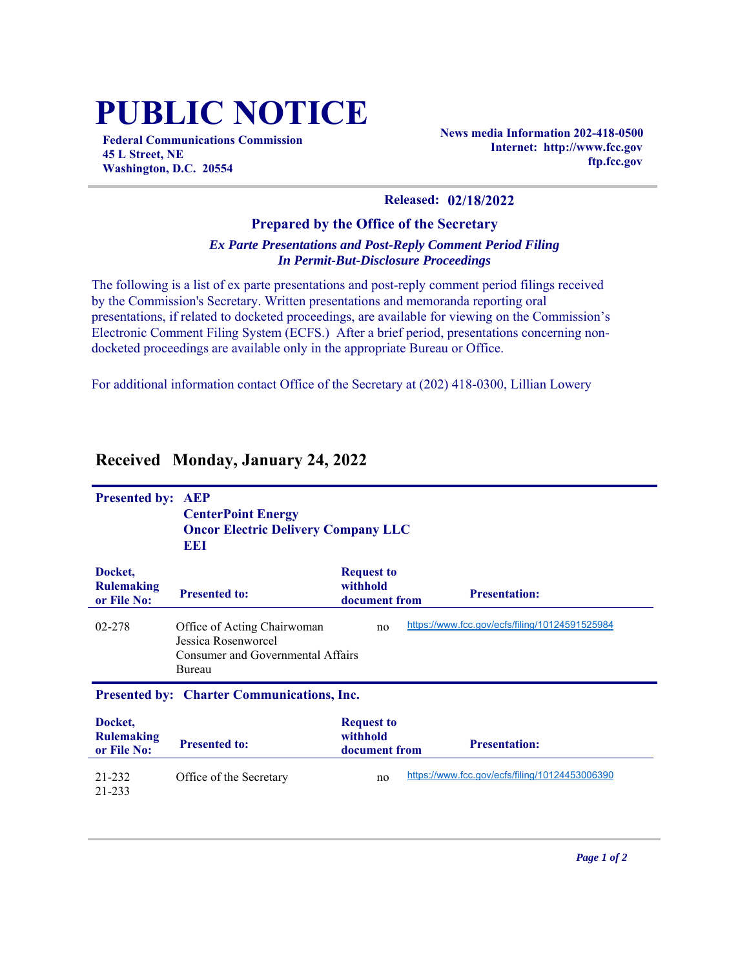## **PUBLIC NOTICE**

**Federal Communications Commission 45 L Street, NE Washington, D.C. 20554**

**News media Information 202-418-0500 Internet: http://www.fcc.gov ftp.fcc.gov**

## **Released: 02/18/2022**

## **Prepared by the Office of the Secretary** *Ex Parte Presentations and Post-Reply Comment Period Filing In Permit-But-Disclosure Proceedings*

The following is a list of ex parte presentations and post-reply comment period filings received by the Commission's Secretary. Written presentations and memoranda reporting oral presentations, if related to docketed proceedings, are available for viewing on the Commission's Electronic Comment Filing System (ECFS.) After a brief period, presentations concerning nondocketed proceedings are available only in the appropriate Bureau or Office.

For additional information contact Office of the Secretary at (202) 418-0300, Lillian Lowery

| <b>Presented by:</b>                              | <b>AEP</b><br><b>CenterPoint Energy</b><br><b>Oncor Electric Delivery Company LLC</b><br>EEI      |                                                |                                                |  |
|---------------------------------------------------|---------------------------------------------------------------------------------------------------|------------------------------------------------|------------------------------------------------|--|
| Docket,<br><b>Rulemaking</b><br>or File No:       | <b>Presented to:</b>                                                                              | <b>Request to</b><br>withhold<br>document from | <b>Presentation:</b>                           |  |
| 02-278                                            | Office of Acting Chairwoman<br>Jessica Rosenworcel<br>Consumer and Governmental Affairs<br>Bureau | no                                             | https://www.fcc.gov/ecfs/filing/10124591525984 |  |
| <b>Presented by: Charter Communications, Inc.</b> |                                                                                                   |                                                |                                                |  |
| Docket,<br><b>Rulemaking</b><br>or File No:       | <b>Presented to:</b>                                                                              | <b>Request to</b><br>withhold<br>document from | <b>Presentation:</b>                           |  |
| 21-232<br>21-233                                  | Office of the Secretary                                                                           | no                                             | https://www.fcc.gov/ecfs/filing/10124453006390 |  |

## **Received Monday, January 24, 2022**